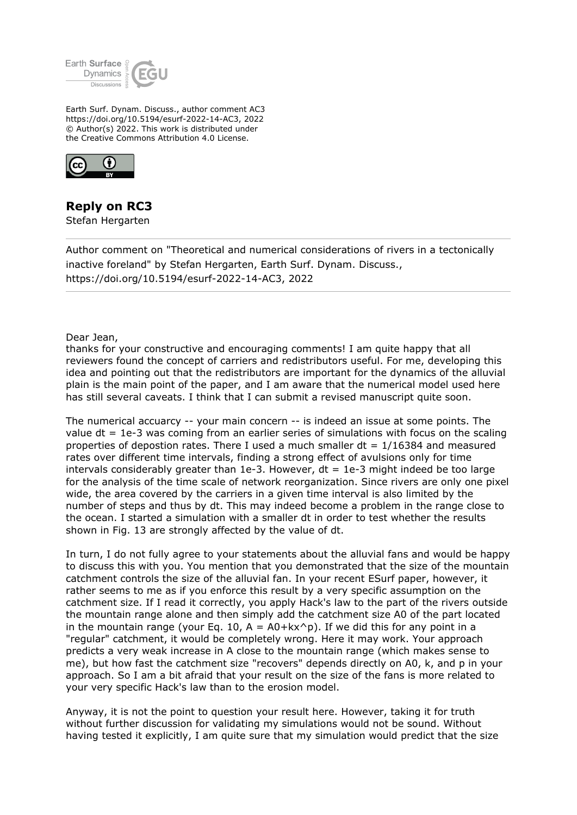

Earth Surf. Dynam. Discuss., author comment AC3 https://doi.org/10.5194/esurf-2022-14-AC3, 2022 © Author(s) 2022. This work is distributed under the Creative Commons Attribution 4.0 License.



## **Reply on RC3**

Stefan Hergarten

Author comment on "Theoretical and numerical considerations of rivers in a tectonically inactive foreland" by Stefan Hergarten, Earth Surf. Dynam. Discuss., https://doi.org/10.5194/esurf-2022-14-AC3, 2022

Dear Jean,

thanks for your constructive and encouraging comments! I am quite happy that all reviewers found the concept of carriers and redistributors useful. For me, developing this idea and pointing out that the redistributors are important for the dynamics of the alluvial plain is the main point of the paper, and I am aware that the numerical model used here has still several caveats. I think that I can submit a revised manuscript quite soon.

The numerical accuarcy -- your main concern -- is indeed an issue at some points. The value dt = 1e-3 was coming from an earlier series of simulations with focus on the scaling properties of depostion rates. There I used a much smaller  $dt = 1/16384$  and measured rates over different time intervals, finding a strong effect of avulsions only for time intervals considerably greater than  $1e-3$ . However,  $dt = 1e-3$  might indeed be too large for the analysis of the time scale of network reorganization. Since rivers are only one pixel wide, the area covered by the carriers in a given time interval is also limited by the number of steps and thus by dt. This may indeed become a problem in the range close to the ocean. I started a simulation with a smaller dt in order to test whether the results shown in Fig. 13 are strongly affected by the value of dt.

In turn, I do not fully agree to your statements about the alluvial fans and would be happy to discuss this with you. You mention that you demonstrated that the size of the mountain catchment controls the size of the alluvial fan. In your recent ESurf paper, however, it rather seems to me as if you enforce this result by a very specific assumption on the catchment size. If I read it correctly, you apply Hack's law to the part of the rivers outside the mountain range alone and then simply add the catchment size A0 of the part located in the mountain range (your Eq. 10,  $A = A0+kx^{\wedge}p$ ). If we did this for any point in a "regular" catchment, it would be completely wrong. Here it may work. Your approach predicts a very weak increase in A close to the mountain range (which makes sense to me), but how fast the catchment size "recovers" depends directly on A0, k, and p in your approach. So I am a bit afraid that your result on the size of the fans is more related to your very specific Hack's law than to the erosion model.

Anyway, it is not the point to question your result here. However, taking it for truth without further discussion for validating my simulations would not be sound. Without having tested it explicitly, I am quite sure that my simulation would predict that the size